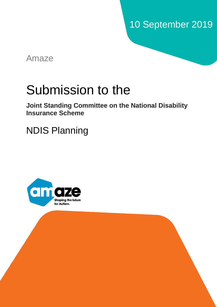# 10 September 2019

Amaze

# Submission to the

<span id="page-0-0"></span>**Joint Standing Committee on the National Disability Insurance Scheme**

NDIS Planning

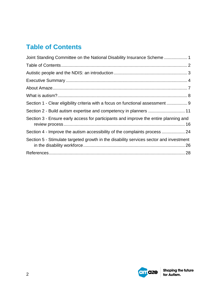# <span id="page-1-0"></span>**Table of Contents**

| Joint Standing Committee on the National Disability Insurance Scheme  1                |
|----------------------------------------------------------------------------------------|
|                                                                                        |
|                                                                                        |
|                                                                                        |
|                                                                                        |
|                                                                                        |
| Section 1 - Clear eligibility criteria with a focus on functional assessment  9        |
|                                                                                        |
| Section 3 - Ensure early access for participants and improve the entire planning and   |
| Section 4 - Improve the autism accessibility of the complaints process  24             |
| Section 5 - Stimulate targeted growth in the disability services sector and investment |
|                                                                                        |

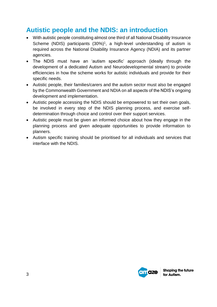# <span id="page-2-0"></span>**Autistic people and the NDIS: an introduction**

- With autistic people constituting almost one third of all National Disability Insurance Scheme (NDIS) participants  $(30\%)$ <sup>1</sup>, a high-level understanding of autism is required across the National Disability Insurance Agency (NDIA) and its partner agencies.
- The NDIS must have an 'autism specific' approach (ideally through the development of a dedicated Autism and Neurodevelopmental stream) to provide efficiencies in how the scheme works for autistic individuals and provide for their specific needs.
- Autistic people, their families/carers and the autism sector must also be engaged by the Commonwealth Government and NDIA on all aspects of the NDIS's ongoing development and implementation.
- Autistic people accessing the NDIS should be empowered to set their own goals, be involved in every step of the NDIS planning process, and exercise selfdetermination through choice and control over their support services.
- Autistic people must be given an informed choice about how they engage in the planning process and given adequate opportunities to provide information to planners.
- Autism specific training should be prioritised for all individuals and services that interface with the NDIS.

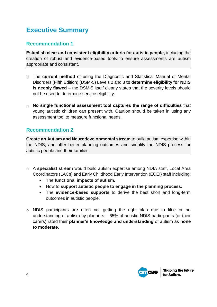# <span id="page-3-0"></span>**Executive Summary**

## **Recommendation 1**

**Establish clear and consistent eligibility criteria for autistic people,** including the creation of robust and evidence-based tools to ensure assessments are autism appropriate and consistent.

- o The **current method** of using the Diagnostic and Statistical Manual of Mental Disorders (Fifth Edition) (DSM-5) Levels 2 and 3 **to determine eligibility for NDIS is deeply flawed** – the DSM-5 itself clearly states that the severity levels should not be used to determine service eligibility.
- o **No single functional assessment tool captures the range of difficulties** that young autistic children can present with. Caution should be taken in using any assessment tool to measure functional needs.

### **Recommendation 2**

**Create an Autism and Neurodevelopmental stream** to build autism expertise within the NDIS, and offer better planning outcomes and simplify the NDIS process for autistic people and their families.

- o A **specialist stream** would build autism expertise among NDIA staff, Local Area Coordinators (LACs) and Early Childhood Early Intervention (ECEI) staff including:
	- The **functional impacts of autism.**
	- How to **support autistic people to engage in the planning process.**
	- The **evidence-based supports** to derive the best short and long-term outcomes in autistic people.
- o NDIS participants are often not getting the right plan due to little or no understanding of autism by planners – 65% of autistic NDIS participants (or their carers) rated their **planner's knowledge and understanding** of autism as **none to moderate**.

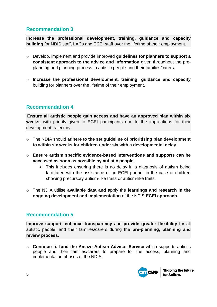### **Recommendation 3**

**Increase the professional development, training, guidance and capacity building** for NDIS staff, LACs and ECEI staff over the lifetime of their employment.

- o Develop, implement and provide improved **guidelines for planners to support a consistent approach to the advice and information** given throughout the preplanning and planning process to autistic people and their families/carers.
- o **Increase the professional development, training, guidance and capacity**  building for planners over the lifetime of their employment.

### **Recommendation 4**

**Ensure all autistic people gain access and have an approved plan within six weeks,** with priority given to ECEI participants due to the implications for their development trajectory**.**

- o The NDIA should **adhere to the set guideline of prioritising plan development to within six weeks for children under six with a developmental delay**.
- o **Ensure autism specific evidence-based interventions and supports can be accessed as soon as possible by autistic people.**
	- This includes ensuring there is no delay in a diagnosis of autism being facilitated with the assistance of an ECEI partner in the case of children showing precursory autism-like traits or autism-like traits.
- o The NDIA utilise **available data and** apply the **learnings and research in the ongoing development and implementation** of the NDIS **ECEI approach.**

### **Recommendation 5**

**Improve support**, **enhance transparency** and **provide greater flexibility** for all autistic people, and their families/carers during the **pre-planning, planning and review process.**

o **Continue to fund the Amaze Autism Advisor Service** which supports autistic people and their families/carers to prepare for the access, planning and implementation phases of the NDIS.

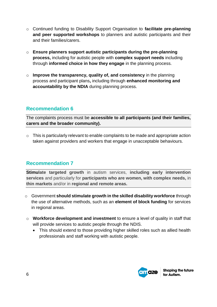- o Continued funding to Disability Support Organisation to **facilitate pre-planning and peer supported workshops** to planners and autistic participants and their and their families/carers.
- o **Ensure planners support autistic participants during the pre-planning process,** including for autistic people with **complex support needs** including through **informed choice in how they engage** in the planning process.
- o **Improve the transparency, quality of, and consistency** in the planning process and participant plans**,** including through **enhanced monitoring and accountability by the NDIA** during planning process.

### **Recommendation 6**

The complaints process must be **accessible to all participants (and their families, carers and the broader community).**

o This is particularly relevant to enable complaints to be made and appropriate action taken against providers and workers that engage in unacceptable behaviours.

### **Recommendation 7**

**Stimulate targeted growth** in autism services, **including early intervention services** and particularly for **participants who are women, with complex needs,** in **thin markets** and/or in **regional and remote areas.** 

- o Government **should stimulate growth in the skilled disability workforce** through the use of alternative methods, such as an **element of block funding** for services in regional areas.
- o **Workforce development and investment** to ensure a level of quality in staff that will provide services to autistic people through the NDIS.
	- This should extend to those providing higher skilled roles such as allied health professionals and staff working with autistic people.

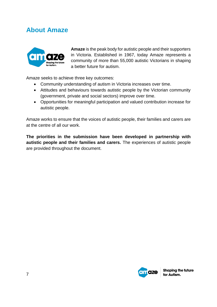# <span id="page-6-0"></span>**About Amaze**



**Amaze** is the peak body for autistic people and their supporters in Victoria. Established in 1967, today Amaze represents a community of more than 55,000 autistic Victorians in shaping a better future for autism.

Amaze seeks to achieve three key outcomes:

- Community understanding of autism in Victoria increases over time.
- Attitudes and behaviours towards autistic people by the Victorian community (government, private and social sectors) improve over time.
- Opportunities for meaningful participation and valued contribution increase for autistic people.

Amaze works to ensure that the voices of autistic people, their families and carers are at the centre of all our work.

**The priorities in the submission have been developed in partnership with autistic people and their families and carers.** The experiences of autistic people are provided throughout the document.

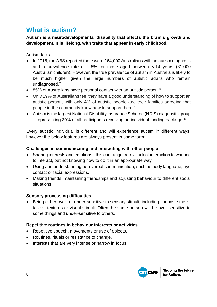# <span id="page-7-0"></span>**What is autism?**

**Autism is a neurodevelopmental disability that affects the brain's growth and development. It is lifelong, with traits that appear in early childhood.** 

Autism facts:

- In 2015, the ABS reported there were 164,000 Australians with an autism diagnosis and a prevalence rate of 2.8% for those aged between 5-14 years (81,000 Australian children). However, the true prevalence of autism in Australia is likely to be much higher given the large numbers of autistic adults who remain undiagnosed.<sup>2</sup>
- $\bullet$  85% of Australians have personal contact with an autistic person.<sup>3</sup>
- Only 29% of Australians feel they have a good understanding of how to support an autistic person, with only 4% of autistic people and their families agreeing that people in the community know how to support them.<sup>4</sup>
- Autism is the largest National Disability Insurance Scheme (NDIS) diagnostic group – representing 30% of all participants receiving an individual funding package.  $5$

Every autistic individual is different and will experience autism in different ways, however the below features are always present in some form:

#### **Challenges in communicating and interacting with other people**

- Sharing interests and emotions this can range from a lack of interaction to wanting to interact, but not knowing how to do it in an appropriate way.
- Using and understanding non-verbal communication, such as body language, eye contact or facial expressions.
- Making friends, maintaining friendships and adjusting behaviour to different social situations.

#### **Sensory processing difficulties**

 Being either over- or under-sensitive to sensory stimuli, including sounds, smells, tastes, textures or visual stimuli. Often the same person will be over-sensitive to some things and under-sensitive to others.

#### **Repetitive routines in behaviour interests or activities**

- Repetitive speech, movements or use of objects.
- Routines, rituals or resistance to change.
- Interests that are very intense or narrow in focus.

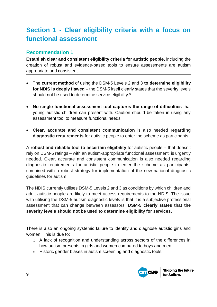# <span id="page-8-0"></span>**Section 1 - Clear eligibility criteria with a focus on functional assessment**

### **Recommendation 1**

**Establish clear and consistent eligibility criteria for autistic people,** including the creation of robust and evidence-based tools to ensure assessments are autism appropriate and consistent.

- The **current method** of using the DSM-5 Levels 2 and 3 **to determine eligibility for NDIS is deeply flawed** – the DSM-5 itself clearly states that the severity levels should not be used to determine service eligibility.<sup>6</sup>
- **No single functional assessment tool captures the range of difficulties** that young autistic children can present with. Caution should be taken in using any assessment tool to measure functional needs.
- **Clear, accurate and consistent communication** is also needed **regarding diagnostic requirements** for autistic people to enter the scheme as participants

A **robust and reliable tool to ascertain eligibility** for autistic people – that doesn't rely on DSM-5 ratings – with an autism-appropriate functional assessment, is urgently needed. Clear, accurate and consistent communication is also needed regarding diagnostic requirements for autistic people to enter the scheme as participants, combined with a robust strategy for implementation of the new national diagnostic guidelines for autism.

The NDIS currently utilises DSM-5 Levels 2 and 3 as conditions by which children and adult autistic people are likely to meet access requirements to the NDIS. The issue with utilising the DSM-5 autism diagnostic levels is that it is a subjective professional assessment that can change between assessors. **DSM-5 clearly states that the severity levels should not be used to determine eligibility for services**.

There is also an ongoing systemic failure to identify and diagnose autistic girls and women. This is due to:

- o A lack of recognition and understanding across sectors of the differences in how autism presents in girls and women compared to boys and men.
- o Historic gender biases in autism screening and diagnostic tools.

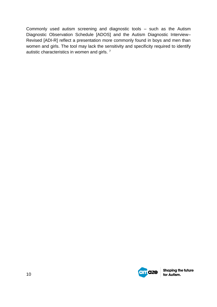Commonly used autism screening and diagnostic tools – such as the Autism Diagnostic Observation Schedule [ADOS] and the Autism Diagnostic Interview– Revised [ADI-R] reflect a presentation more commonly found in boys and men than women and girls. The tool may lack the sensitivity and specificity required to identify autistic characteristics in women and girls. 7

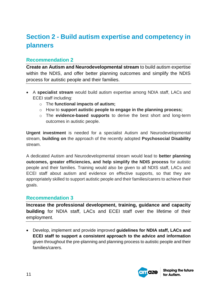# <span id="page-10-0"></span>**Section 2 - Build autism expertise and competency in planners**

### **Recommendation 2**

**Create an Autism and Neurodevelopmental stream** to build autism expertise within the NDIS, and offer better planning outcomes and simplify the NDIS process for autistic people and their families.

- A **specialist stream** would build autism expertise among NDIA staff, LACs and ECEI staff including:
	- o The **functional impacts of autism;**
	- o How to **support autistic people to engage in the planning process;**
	- o The **evidence-based supports** to derive the best short and long-term outcomes in autistic people.

**Urgent investment** is needed for a specialist Autism and Neurodevelopmental stream, **building on** the approach of the recently adopted **Psychosocial Disability** stream.

A dedicated Autism and Neurodevelopmental stream would lead to **better planning outcomes, greater efficiencies, and help simplify the NDIS process** for autistic people and their families. Training would also be given to all NDIS staff, LACs and ECEI staff about autism and evidence on effective supports, so that they are appropriately skilled to support autistic people and their families/carers to achieve their goals.

### **Recommendation 3**

**Increase the professional development, training, guidance and capacity building** for NDIA staff, LACs and ECEI staff over the lifetime of their employment.

 Develop, implement and provide improved **guidelines for NDIA staff, LACs and ECEI staff to support a consistent approach to the advice and information** given throughout the pre-planning and planning process to autistic people and their families/carers.

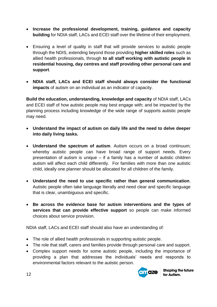- **Increase the professional development, training, guidance and capacity building** for NDIA staff, LACs and ECEI staff over the lifetime of their employment.
- Ensuring a level of quality in staff that will provide services to autistic people through the NDIS, extending beyond those providing **higher skilled roles** such as allied health professionals, through **to all staff working with autistic people in residential housing, day centres and staff providing other personal care and support**.
- **NDIA staff, LACs and ECEI staff should always consider the functional impacts** of autism on an individual as an indicator of capacity.

**Build the education, understanding, knowledge and capacity** of NDIA staff, LACs and ECEI staff of how autistic people may best engage with; and be impacted by the planning process including knowledge of the wide range of supports autistic people may need.

- **Understand the impact of autism on daily life and the need to delve deeper into daily living tasks.**
- **Understand the spectrum of autism**. Autism occurs on a broad continuum; whereby autistic people can have broad range of support needs. Every presentation of autism is unique – if a family has a number of autistic children autism will affect each child differently. For families with more than one autistic child, ideally one planner should be allocated for all children of the family.
- **Understand the need to use specific rather than general communication**. Autistic people often take language literally and need clear and specific language that is clear, unambiguous and specific.
- **Be across the evidence base for autism interventions and the types of services that can provide effective support** so people can make informed choices about service provision.

NDIA staff, LACs and ECEI staff should also have an understanding of:

- The role of allied health professionals in supporting autistic people.
- The role that staff, carers and families provide through personal care and support.
- Complex support needs for some autistic people, including the importance of providing a plan that addresses the individuals' needs and responds to environmental factors relevant to the autistic person.

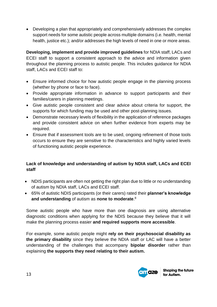Developing a plan that appropriately and comprehensively addresses the complex support needs for some autistic people across multiple domains (i.e. health, mental health, justice etc.); and/or addresses the high levels of need in one or more areas.

**Developing, implement and provide improved guidelines** for NDIA staff, LACs and ECEI staff to support a consistent approach to the advice and information given throughout the planning process to autistic people. This includes guidance for NDIA staff, LACs and ECEI staff to:

- Ensure informed choice for how autistic people engage in the planning process (whether by phone or face to face).
- Provide appropriate information in advance to support participants and their families/carers in planning meetings.
- Give autistic people consistent and clear advice about criteria for support, the supports for which funding may be used and other post-planning issues.
- Demonstrate necessary levels of flexibility in the application of reference packages and provide consistent advice on when further evidence from experts may be required.
- Ensure that if assessment tools are to be used, ongoing refinement of those tools occurs to ensure they are sensitive to the characteristics and highly varied levels of functioning autistic people experience.

#### **Lack of knowledge and understanding of autism by NDIA staff, LACs and ECEI staff**

- NDIS participants are often not getting the right plan due to little or no understanding of autism by NDIA staff, LACs and ECEI staff.
- 65% of autistic NDIS participants (or their carers) rated their **planner's knowledge and understanding** of autism as **none to moderate**. 8

Some autistic people who have more than one diagnosis are using alternative diagnostic conditions when applying for the NDIS because they believe that it will make the planning process easier **and required supports more accessible**.

For example, some autistic people might **rely on their psychosocial disability as the primary disability** since they believe the NDIA staff or LAC will have a better understanding of the challenges that accompany **bipolar disorder** rather than explaining **the supports they need relating to their autism.**

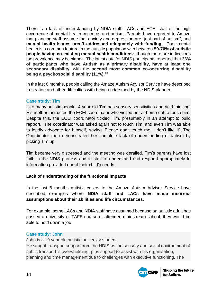There is a lack of understanding by NDIA staff, LACs and ECEI staff of the high occurrence of mental health concerns and autism. Parents have reported to Amaze that planning staff assume that anxiety and depression are "just part of autism", and **mental health issues aren't addressed adequately with funding.** Poor mental health is a common feature in the autistic population with between **50-70% of autistic people having co-existing mental health conditions<sup>9</sup>** , though there are indications the prevalence may be higher. The latest data for NDIS participants reported that **36% of participants who have Autism as a primary disability, have at least one secondary disability**, with the **second most common co-occurring disability being a psychosocial disability (11%). 10**

In the last 6 months, people calling the Amaze Autism Advisor Service have described frustration and other difficulties with being understood by the NDIS planner.

#### **Case study: Tim**

Like many autistic people, 4-year-old Tim has sensory sensitivities and rigid thinking. His mother instructed the ECEI coordinator who visited her at home not to touch him. Despite this, the ECEI coordinator tickled Tim, presumably in an attempt to build rapport. The coordinator was asked again not to touch Tim, and even Tim was able to loudly advocate for himself, saying 'Please don't touch me, I don't like it'. The Coordinator then demonstrated her complete lack of understanding of autism by picking Tim up.

Tim became very distressed and the meeting was derailed. Tim's parents have lost faith in the NDIS process and in staff to understand and respond appropriately to information provided about their child's needs.

#### **Lack of understanding of the functional impacts**

In the last 6 months autistic callers to the Amaze Autism Advisor Service have described examples where **NDIA staff and LACs have made incorrect assumptions about their abilities and life circumstances.**

For example, some LACs and NDIA staff have assumed because an autistic adult has passed a university or TAFE course or attended mainstream school, they would be able to hold down a job.

#### **Case study: John**

John is a 19 year old autistic university student.

He sought transport support from the NDIS as the sensory and social environment of public transport is overwhelming, plus support to assist with his organisation, planning and time management due to challenges with executive functioning. The

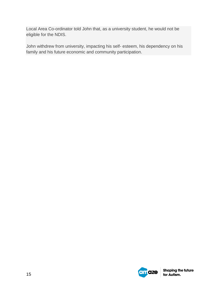Local Area Co-ordinator told John that, as a university student, he would not be eligible for the NDIS.

John withdrew from university, impacting his self- esteem, his dependency on his family and his future economic and community participation.

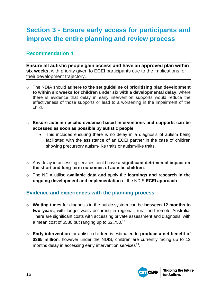# <span id="page-15-0"></span>**Section 3 - Ensure early access for participants and improve the entire planning and review process**

### **Recommendation 4**

**Ensure all autistic people gain access and have an approved plan within six weeks,** with priority given to ECEI participants due to the implications for their development trajectory.

- o The NDIA should **adhere to the set guideline of prioritising plan development to within six weeks for children under six with a developmental delay**, where there is evidence that delay in early intervention supports would reduce the effectiveness of those supports or lead to a worsening in the impairment of the child.
- o **Ensure autism specific evidence-based interventions and supports can be accessed as soon as possible by autistic people**
	- This includes ensuring there is no delay in a diagnosis of autism being facilitated with the assistance of an ECEI partner in the case of children showing precursory autism-like traits or autism-like traits.
- o Any delay in accessing services could have **a significant detrimental impact on the short and long-term outcomes of autistic children**.
- o The NDIA utilise **available data and** apply the **learnings and research in the ongoing development and implementation** of the NDIS **ECEI approach**

### **Evidence and experiences with the planning process**

- o **Waiting times** for diagnosis in the public system can be **between 12 months to two years**, with longer waits occurring in regional, rural and remote Australia. There are significant costs with accessing private assessment and diagnosis, with a mean cost of \$580 but ranging up to \$2,750.<sup>11</sup>
- o **Early intervention** for autistic children is estimated to **produce a net benefit of \$365 million**, however under the NDIS, children are currently facing up to 12 months delay in accessing early intervention services<sup>12</sup>.

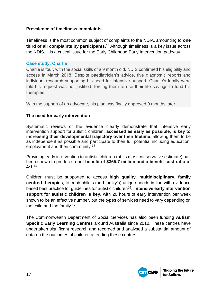#### **Prevalence of timeliness complaints**

Timeliness is the most common subject of complaints to the NDIA, amounting to **one third of all complaints by participants**. <sup>13</sup> Although timeliness is a key issue across the NDIS, it is a critical issue for the Early Childhood Early Intervention pathway.

#### **Case study: Charlie**

Charlie is four, with the social skills of a 9 month old. NDIS confirmed his eligibility and access in March 2018. Despite paediatrician's advice, five diagnostic reports and individual research supporting his need for intensive support, Charlie's family were told his request was not justified, forcing them to use their life savings to fund his therapies.

With the support of an advocate, his plan was finally approved 9 months later.

#### **The need for early intervention**

Systematic reviews of the evidence clearly demonstrate that intensive early intervention support for autistic children, **accessed as early as possible, is key to increasing their developmental trajectory over their lifetime**, allowing them to be as independent as possible and participate to their full potential including education, employment and their community.<sup>14</sup>

Providing early intervention to autistic children (at its most conservative estimate) has been shown to produce **a net benefit of \$365.7 million and a benefit-cost ratio of 4:1**. 15

Children must be supported to access **high quality, multidisciplinary, family centred therapies**, to each child's (and family's) unique needs in line with evidence based best practice for guidelines for autistic children<sup>16</sup>. Intensive early intervention **support for autistic children is key**, with 20 hours of early intervention per week shown to be an effective number, but the types of services need to vary depending on the child and the family.<sup>17</sup>

The Commonwealth Department of Social Services has also been funding **Autism Specific Early Learning Centres** around Australia since 2010. These centres have undertaken significant research and recorded and analysed a substantial amount of data on the outcomes of children attending these centres.

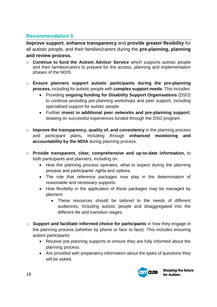# **Recommendation 5**

**Improve support**, **enhance transparency** and **provide greater flexibility** for all autistic people, and their families/carers during the **pre-planning, planning and review process.**

- o **Continue to fund the Autism Advisor Service** which supports autistic people and their families/carers to prepare for the access, planning and implementation phases of the NDIS.
- o **Ensure planners support autistic participants during the pre-planning process,** including for autistic people with **complex support needs.** This includes:
	- Providing **ongoing funding for Disability Support Organisations** (DSO) to continue providing pre-planning workshops and peer support, including specialised support for autistic people.
	- Further **invest in additional peer networks and pre-planning support**, drawing on successful experiences funded through the DSO program.
- o **Improve the transparency, quality of, and consistency** in the planning process and participant plans**,** including through **enhanced monitoring and accountability by the NDIA** during planning process.
- o **Provide transparent, clear, comprehensive and up-to-date information,** to both participants and planners, including on:
	- How the planning process operates, what to expect during the planning process and participants' rights and options.
	- The role that reference packages now play in the determination of reasonable and necessary supports.
	- How flexibility in the application of these packages may be managed by planners
		- These resources should be tailored to the needs of different audiences, including autistic people and disaggregated into the different life and transition stages.
- o **Support and facilitate informed choice for participants** in how they engage in the planning process (whether by phone or face to face). This includes ensuring autism participants:
	- Receive pre-planning supports to ensure they are fully informed about the planning process.
	- Are provided with preparatory information about the types of questions they will be asked.

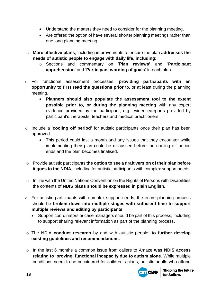- Understand the matters they need to consider for the planning meeting.
- Are offered the option of have several shorter planning meetings rather than one long planning meeting.
- o **More effective plans**, including improvements to ensure the plan **addresses the needs of autistic people to engage with daily life, including:**
	- o Sections and commentary on '**Plan reviews'** and '**Participant apprehension**' and '**Participant wording of goals**' in each plan.
- o For functional assessment processes, **providing participants with an opportunity to first read the questions prior** to, or at least during the planning meeting.
	- **Planners should also populate the assessment tool to the extent possible prior to, or during the planning meeting** with any expert evidence provided by the participant, e.g. evidence/reports provided by participant's therapists, teachers and medical practitioners.
- o Include a '**cooling off period'** for autistic participants once their plan has been approved.
	- This period could last a month and any issues that they encounter while implementing their plan could be discussed before the cooling off period ends and the plan becomes finalised.
- o Provide autistic participants **the option to see a draft version of their plan before it goes to the NDIA**, including for autistic participants with complex support needs.
- o In line with the United Nations Convention on the Rights of Persons with Disabilities the contents of **NDIS plans should be expressed in plain English.**
- o For autistic participants with complex support needs, the entire planning process should be **broken down into multiple stages with sufficient time to support multiple reviews and editing by participants.**
	- Support coordinators or case managers should be part of this process, including to support sharing relevant information as part of the planning process.
- o The NDIA **conduct research** by and with autistic people, **to further develop existing guidelines and recommendations.**
- o In the last 6 months a common issue from callers to Amaze **was NDIS access relating to 'proving' functional incapacity due to autism alone**. While multiple conditions seem to be considered for children's plans, autistic adults who attend

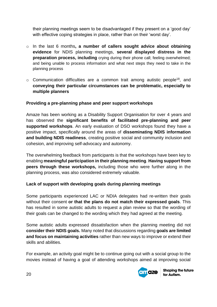their planning meetings seem to be disadvantaged if they present on a 'good day' with effective coping strategies in place, rather than on their 'worst day'.

- o In the last 6 months**, a number of callers sought advice about obtaining evidence** for NDIS planning meetings, **several displayed distress in the preparation process, including** crying during their phone call; feeling overwhelmed; and being unable to process information and what next steps they need to take in the planning process
- $\circ$  Communication difficulties are a common trait among autistic people<sup>18</sup>, and **conveying their particular circumstances can be problematic, especially to multiple planners**

#### **Providing a pre-planning phase and peer support workshops**

Amaze has been working as a Disability Support Organisation for over 4 years and has observed the **significant benefits of facilitated pre-planning and peer supported workshops**. An early evaluation of DSO workshops found they have a positive impact, specifically around the areas of **disseminating NDIS information and building NDIS readiness**, creating positive social and community inclusion and cohesion, and improving self-advocacy and autonomy.

The overwhelming feedback from participants is that the workshops have been key to enabling **meaningful participation in their planning meeting**. **Having support from peers through these workshops,** including those who were further along in the planning process, was also considered extremely valuable.

#### **Lack of support with developing goals during planning meetings**

Some participants experienced LAC or NDIA delegates had re-written their goals without their consent **or that the plans do not match their expressed goals**. This has resulted in some autistic adults to request a plan review so that the wording of their goals can be changed to the wording which they had agreed at the meeting.

Some autistic adults expressed dissatisfaction when the planning meeting did not **consider their NDIS goals.** Many noted that discussions regarding **goals are limited and focus on maintaining activities** rather than new ways to improve or extend their skills and abilities.

For example, an activity goal might be to continue going out with a social group to the movies instead of having a goal of attending workshops aimed at improving social

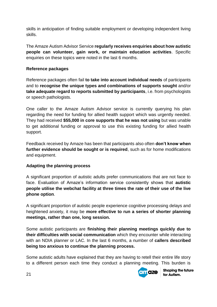skills in anticipation of finding suitable employment or developing independent living skills.

The Amaze Autism Advisor Service **regularly receives enquiries about how autistic people can volunteer, gain work, or maintain education activities**. Specific enquiries on these topics were noted in the last 6 months.

#### **Reference packages**

Reference packages often fail **to take into account individual needs** of participants and to **recognise the unique types and combinations of supports sought** and/or **take adequate regard to reports submitted by participants**, i.e. from psychologists or speech pathologists.

One caller to the Amaze Autism Advisor service is currently querying his plan regarding the need for funding for allied health support which was urgently needed. They had received **\$55,000 in core supports that he was not using** but was unable to get additional funding or approval to use this existing funding for allied health support.

Feedback received by Amaze has been that participants also often **don't know when further evidence should be sought or is required**, such as for home modifications and equipment.

#### **Adapting the planning process**

A significant proportion of autistic adults prefer communications that are not face to face. Evaluation of Amaze's information service consistently shows that **autistic people utilise the webchat facility at three times the rate of their use of the live phone option**.

A significant proportion of autistic people experience cognitive processing delays and heightened anxiety, it may be **more effective to run a series of shorter planning meetings, rather than one, long session.** 

Some autistic participants are **finishing their planning meetings quickly due to their difficulties with social communication** which they encounter while interacting with an NDIA planner or LAC. In the last 6 months, a number of **callers described being too anxious to continue the planning process.**

Some autistic adults have explained that they are having to retell their entire life story to a different person each time they conduct a planning meeting. This burden is

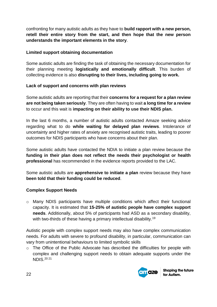confronting for many autistic adults as they have to **build rapport with a new person, retell their entire story from the start, and then hope that the new person understands the important elements in the story**.

#### **Limited support obtaining documentation**

Some autistic adults are finding the task of obtaining the necessary documentation for their planning meeting **logistically and emotionally difficult**. This burden of collecting evidence is also **disrupting to their lives, including going to work.**

#### **Lack of support and concerns with plan reviews**

Some autistic adults are reporting that their **concerns for a request for a plan review are not being taken seriously**. They are often having to wait **a long time for a review** to occur and this wait is **impacting on their ability to use their NDIS plan.**

In the last 6 months, a number of autistic adults contacted Amaze seeking advice regarding what to do **while waiting for delayed plan reviews**. Intolerance of uncertainty and higher rates of anxiety are recognised autistic traits, leading to poorer outcomes for NDIS participants who have concerns about their plan.

Some autistic adults have contacted the NDIA to initiate a plan review because the **funding in their plan does not reflect the needs their psychologist or health professional** has recommended in the evidence reports provided to the LAC.

Some autistic adults are **apprehensive to initiate a plan** review because they have **been told that their funding could be reduced**.

#### **Complex Support Needs**

o Many NDIS participants have multiple conditions which affect their functional capacity. It is estimated that **15-25% of autistic people have complex support needs**. Additionally, about 5% of participants had ASD as a secondary disability, with two-thirds of these having a primary intellectual disability.<sup>19</sup>

Autistic people with complex support needs may also have complex communication needs. For adults with severe to profound disability, in particular, communication can vary from unintentional behaviours to limited symbolic skills

o The Office of the Public Advocate has described the difficulties for people with complex and challenging support needs to obtain adequate supports under the NDIS. 20 21

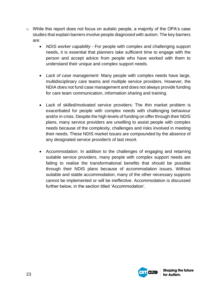- o While this report does not focus on autistic people, a majority of the OPA's case studies that explain barriers involve people diagnosed with autism. The key barriers are:
	- *NDIS worker capability* For people with complex and challenging support needs, it is essential that planners take sufficient time to engage with the person and accept advice from people who have worked with them to understand their unique and complex support needs.
	- *Lack of case management*: Many people with complex needs have large, multidisciplinary care teams and multiple service providers. However, the NDIA does not fund case management and does not always provide funding for care team communication, information sharing and training.
	- Lack of skilled/motivated service providers: The thin market problem is exacerbated for people with complex needs with challenging behaviour and/or in crisis. Despite the high levels of funding on offer through their NDIS plans, many service providers are unwilling to assist people with complex needs because of the complexity, challenges and risks involved in meeting their needs. These NDIS market issues are compounded by the absence of any designated service provider/s of last resort.
	- Accommodation: In addition to the challenges of engaging and retaining suitable service providers, many people with complex support needs are failing to realise the transformational benefits that should be possible through their NDIS plans because of accommodation issues. Without suitable and stable accommodation, many of the other necessary supports cannot be implemented or will be ineffective. Accommodation is discussed further below, in the section titled 'Accommodation'.

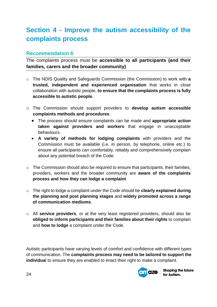# <span id="page-23-0"></span>**Section 4 - Improve the autism accessibility of the complaints process**

### **Recommendation 6**

The complaints process must be **accessible to all participants (and their families, carers and the broader community)** 

- o The NDIS Quality and Safeguards Commission (the Commission) to work with **a trusted, independent and experienced organisation** that works in close collaboration with autistic people, **to ensure that the complaints process is fully accessible to autistic people.**
- o The Commission should support providers to **develop autism accessible complaints methods and procedures**.
	- The process should ensure complaints can be made and **appropriate action taken against providers and workers** that engage in unacceptable behaviours.
	- **A variety of methods for lodging complaints** with providers and the Commission must be available (i.e. in person, by telephone, online etc.) to ensure all participants can comfortably, reliably and comprehensively complain about any potential breach of the Code.
- o The Commission should also be required to ensure that participants, their families, providers, workers and the broader community are **aware of the complaints process and how they can lodge a complaint**.
- o The right to lodge a complaint under the Code should be **clearly explained during the planning and post planning stages** and **widely promoted across a range of communication mediums**.
- o All **service providers**, or at the very least registered providers, should also be **obliged to inform participants and their families about their rights** to complain and **how to lodge** a complaint under the Code.

Autistic participants have varying levels of comfort and confidence with different types of communication. The **complaints process may need to be tailored to support the individua**l to ensure they are enabled to enact their right to make a complaint.

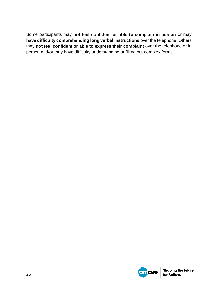Some participants may **not feel confident or able to complain in person** or may **have difficulty comprehending long verbal instructions** over the telephone. Others may **not feel confident or able to express their complaint** over the telephone or in person and/or may have difficulty understanding or filling out complex forms.

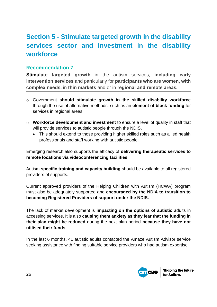# <span id="page-25-0"></span>**Section 5 - Stimulate targeted growth in the disability services sector and investment in the disability workforce**

#### **Recommendation 7**

**Stimulate targeted growth** in the autism services, **including early intervention services** and particularly for **participants who are women, with complex needs,** in **thin markets** and or in **regional and remote areas.**

- o Government **should stimulate growth in the skilled disability workforce** through the use of alternative methods, such as an **element of block funding** for services in regional areas.
- o **Workforce development and investment** to ensure a level of quality in staff that will provide services to autistic people through the NDIS.
	- This should extend to those providing higher skilled roles such as allied health professionals and staff working with autistic people.

Emerging research also supports the efficacy of **delivering therapeutic services to remote locations via videoconferencing facilities**.

Autism **specific training and capacity building** should be available to all registered providers of supports.

Current approved providers of the Helping Children with Autism (HCWA) program must also be adequately supported and **encouraged by the NDIA to transition to becoming Registered Providers of support under the NDIS.** 

The lack of market development is **impacting on the options of autistic** adults in accessing services. It is also **causing them anxiety as they fear that the funding in their plan might be reduced** during the next plan period **because they have not utilised their funds.**

In the last 6 months, 41 autistic adults contacted the Amaze Autism Advisor service seeking assistance with finding suitable service providers who had autism expertise.

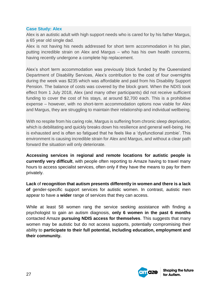#### **Case Study: Alex**

Alex is an autistic adult with high support needs who is cared for by his father Margus, a 65 year old single dad.

Alex is not having his needs addressed for short term accommodation in his plan, putting incredible strain on Alex and Margus – who has his own health concerns, having recently undergone a complete hip replacement.

Alex's short term accommodation was previously block funded by the Queensland Department of Disability Services, Alex's contribution to the cost of four overnights during the week was \$235 which was affordable and paid from his Disability Support Pension. The balance of costs was covered by the block grant. When the NDIS took effect from 1 July 2018, Alex (and many other participants) did not receive sufficient funding to cover the cost of his stays, at around \$2,700 each. This is a prohibitive expense – however, with no short-term accommodation options now viable for Alex and Margus, they are struggling to maintain their relationship and individual wellbeing.

With no respite from his caring role, Margus is suffering from chronic sleep deprivation, which is debilitating and quickly breaks down his resilience and general well-being. He is exhausted and is often so fatigued that he feels like a 'dysfunctional zombie'. This environment is causing incredible strain for Alex and Margus, and without a clear path forward the situation will only deteriorate.

**Accessing services in regional and remote locations for autistic people is currently very difficult**, with people often reporting to Amaze having to travel many hours to access specialist services, often only if they have the means to pay for them privately.

**Lack** of **recognition that autism presents differently in women and there is a lack of** gender-specific support services for autistic women. In contrast, autistic men appear to have a **wider** range of services that they can access.

<span id="page-26-0"></span>While at least 58 women rang the service seeking assistance with finding a psychologist to gain an autism diagnosis, **only 6 women in the past 6 months**  contacted Amaze **pursuing NDIS access for themselves**. This suggests that many women may be autistic but do not access supports, potentially compromising their ability to **participate to their full potential, including education, employment and their community.**

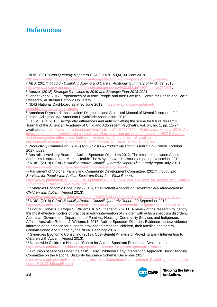# **References**

1

<sup>1</sup> NDIS. (2019) *2nd Quarterly Report to COAG 2018-19 Q4*, 30 June 2019

[https://www.ndis.gov.au/about-us/information-publications-and-reports/quarterly-reports.](https://www.ndis.gov.au/about-us/information-publications-and-reports/quarterly-reports)

<sup>2</sup> ABS. (2017) *4430.0 - Disability, Ageing and Carers, Australia: Summary of Findings*, 2015. [http://www.abs.gov.au/ausstats/abs@.nsf/Latestproducts/4430.0Main%20Features752015.](http://www.abs.gov.au/ausstats/abs@.nsf/Latestproducts/4430.0Main%20Features752015)

<sup>3</sup> Amaze, (2018) *Strategic Directions to 2040 and Strategic Plan 2018-2021*.

<sup>4</sup> Jones S et al. 2017, Experiences of Autistic People and their Families, Centre for Health and Social Research, Australian Catholic University.

<sup>5</sup> NDIS National Dashboard as at 30 June 2019. https://www.ndis.gov.au/aboutus/publications/quarterly-reports

<sup>6</sup> American Psychiatric Association: Diagnostic and Statistical Manual of Mental Disorders, Fifth Edition. Arlington, VA, American Psychiatric Association, 2013.

<sup>7</sup> Lai, M., et al 2015. Sex/gender differences and autism: Setting the scene for future research. Journal of the American Academy of Child and Adolescent Psychiatry, vol. 54, no. 1, pp. 11-24, available at [https://www.ncbi.nlm.nih.gov/pmc/articles/PMC4284309/ ; Rynkiewicz, A., et al 2016. An](https://www.ncbi.nlm.nih.gov/pmc/articles/PMC4284309/%20;%20Rynkiewicz,%20A.,%20et%20al%202016.%20An%20investigation%20of%20the%20)  [investigation of the 'girls/women camouflage effect' in autism using a computerized ADOS-2 and a](https://www.ncbi.nlm.nih.gov/pmc/articles/PMC4284309/%20;%20Rynkiewicz,%20A.,%20et%20al%202016.%20An%20investigation%20of%20the%20)  [test of sex/gender differences. Molecular Autism, vol. 7, no. 1,pp. 1-8, available at](https://www.ncbi.nlm.nih.gov/pmc/articles/PMC4284309/%20;%20Rynkiewicz,%20A.,%20et%20al%202016.%20An%20investigation%20of%20the%20)  [https://molecularautism.biomedcentral.com/articles/10.1186/s13229-016-0073-0.](https://www.ncbi.nlm.nih.gov/pmc/articles/PMC4284309/%20;%20Rynkiewicz,%20A.,%20et%20al%202016.%20An%20investigation%20of%20the%20) 

<sup>8</sup> Productivity Commission. (2017) *NDIS Costs – Productivity Commission Study Report*. October 2017. pp29.

<sup>9</sup> Australian Advisory Board on Autism Spectrum Disorders 2012, The Interface between Autism Spectrum Disorders and Mental Health: The Ways Forward. Discussion paper, December 2012 <sup>10</sup> NDIS. (2019) *COAG Disability Reform Council Quarterly Report* 4<sup>th</sup> quarterly report July 2019. [https://www.ndis.gov.au/about-us/publications/quarterly-reports.](https://www.ndis.gov.au/about-us/publications/quarterly-reports)

<sup>11</sup> Parliament of Victoria, Family and Community Development Committee. (2017) *Inquiry into Services for People with Autism Spectrum Disorder - Final Report*.

[https://www.parliament.vic.gov.au/file\\_uploads/FCDC\\_Report\\_into\\_Services\\_for\\_people\\_with\\_Autism](https://www.parliament.vic.gov.au/file_uploads/FCDC_Report_into_Services_for_people_with_Autism_Spectrum_Disorder_Z5KhPNcW.pdf) [\\_Spectrum\\_Disorder\\_Z5KhPNcW.pdf.](https://www.parliament.vic.gov.au/file_uploads/FCDC_Report_into_Services_for_people_with_Autism_Spectrum_Disorder_Z5KhPNcW.pdf)

<sup>12</sup> Synergies Economic Consulting (2013), *Cost-Benefit Analysis of Providing Early Intervention to Children with Autism* (August 2013).

[https://www.pc.gov.au/\\_\\_data/assets/pdf\\_file/0004/215266/sub0032-ndis-costs-attachmenta.pdf](https://www.pc.gov.au/__data/assets/pdf_file/0004/215266/sub0032-ndis-costs-attachmenta.pdf) <sup>13</sup> NDIS. (2018) *COAG Disability Reform Council Quarterly Report*. 30 September 2018.

<https://www.ndis.gov.au/about-us/publications/quarterly-reports/archived-quarterly-reports-2018-19>

<sup>14</sup> Prior M, Roberts J, Roger S, Williams, K & Sutherland R 2011. A review of the research to identify the most effective models of practice in early intervention of children with autism spectrum disorders. Australian Government Department of Families, Housing, Community Services and Indigenous Affairs, Australia; Roberts J, Williams K 2016. Autism Spectrum Disorder: Evidence-based/evidenceinformed good practice for supports provided to preschool children, their families and carers. Commissioned and funded by the NDIA. February 2016.

<sup>15</sup> Synergies Economic Consulting (2013), Cost-Benefit Analysis of Providing Early Intervention to Children with Autism (August 2013).

<sup>16</sup> Nationwide Children's Hospital. 'Centre for Autism Spectrum Disorders'. Available from [https://www.nationwidechildrens.org/specialties/center-for-autism-spectrum-disorders.](https://www.nationwidechildrens.org/specialties/center-for-autism-spectrum-disorders)

<sup>17</sup> Provision of services under the NDIS Early Childhood Early Intervention Approach. Joint Standing Committee on the National Disability Insurance Scheme, December 2017

[https://www.aph.gov.au/Parliamentary\\_Business/Committees/Joint/National\\_Disability\\_Insurance\\_Sc](https://www.aph.gov.au/Parliamentary_Business/Committees/Joint/National_Disability_Insurance_Scheme/EarlyChildhood/Report) [heme/EarlyChildhood/Report](https://www.aph.gov.au/Parliamentary_Business/Committees/Joint/National_Disability_Insurance_Scheme/EarlyChildhood/Report)